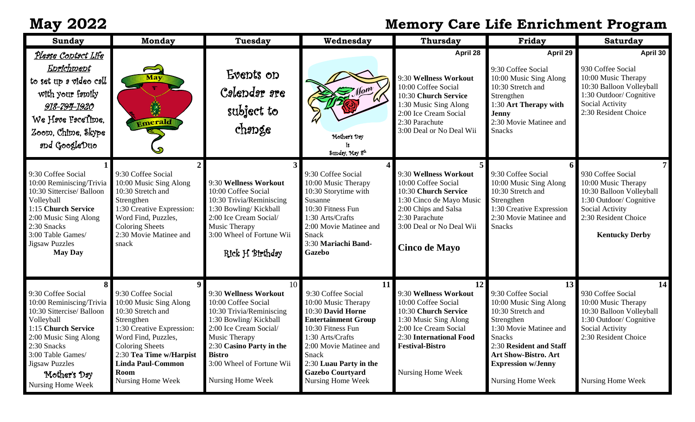## **May 2022 Memory Care Life Enrichment Program**

| Sunday                                                                                                                                                                                                                                      | <b>Monday</b>                                                                                                                                                                                                                                                       | Tuesday                                                                                                                                                                                                                                                        | Wednesday                                                                                                                                                                                                                                                | <b>Thursday</b>                                                                                                                                                                                        | Friday                                                                                                                                                                                                                                       | <b>Saturday</b>                                                                                                                                                          |
|---------------------------------------------------------------------------------------------------------------------------------------------------------------------------------------------------------------------------------------------|---------------------------------------------------------------------------------------------------------------------------------------------------------------------------------------------------------------------------------------------------------------------|----------------------------------------------------------------------------------------------------------------------------------------------------------------------------------------------------------------------------------------------------------------|----------------------------------------------------------------------------------------------------------------------------------------------------------------------------------------------------------------------------------------------------------|--------------------------------------------------------------------------------------------------------------------------------------------------------------------------------------------------------|----------------------------------------------------------------------------------------------------------------------------------------------------------------------------------------------------------------------------------------------|--------------------------------------------------------------------------------------------------------------------------------------------------------------------------|
| <u>Plesse Contact Life</u><br>Enrichment<br>to set up a video call<br>with your family<br>918-794-1920<br>We Have PaceTime,<br>Zoom, Chime, Skype<br>and GoogleDuo                                                                          | May<br>$\begin{matrix} \times \ \times \ \times \ \times \ \times \ \end{matrix}$<br>Emerald                                                                                                                                                                        | Events on<br>Calendar are<br>subject to<br>change                                                                                                                                                                                                              | $\sum_{n=1}^{\infty}$<br>Mother's Day<br>Sunday, May 8th                                                                                                                                                                                                 | April 28<br>9:30 Wellness Workout<br>10:00 Coffee Social<br>10:30 Church Service<br>1:30 Music Sing Along<br>2:00 Ice Cream Social<br>2:30 Parachute<br>3:00 Deal or No Deal Wii                       | April 29<br>9:30 Coffee Social<br>10:00 Music Sing Along<br>10:30 Stretch and<br>Strengthen<br>1:30 Art Therapy with<br><b>Jenny</b><br>2:30 Movie Matinee and<br><b>Snacks</b>                                                              | April 30<br>930 Coffee Social<br>10:00 Music Therapy<br>10:30 Balloon Volleyball<br>1:30 Outdoor/ Cognitive<br>Social Activity<br>2:30 Resident Choice                   |
| 9:30 Coffee Social<br>10:00 Reminiscing/Trivia<br>10:30 Sittercise/ Balloon<br>Volleyball<br>1:15 Church Service<br>2:00 Music Sing Along<br>2:30 Snacks<br>3:00 Table Games/<br><b>Jigsaw Puzzles</b><br><b>May Day</b>                    | 9:30 Coffee Social<br>10:00 Music Sing Along<br>10:30 Stretch and<br>Strengthen<br>1:30 Creative Expression:<br>Word Find, Puzzles,<br><b>Coloring Sheets</b><br>2:30 Movie Matinee and<br>snack                                                                    | 9:30 Wellness Workout<br>10:00 Coffee Social<br>10:30 Trivia/Reminiscing<br>1:30 Bowling/Kickball<br>2:00 Ice Cream Social/<br>Music Therapy<br>3:00 Wheel of Fortune Wii<br>Rick H Birthday                                                                   | 9:30 Coffee Social<br>10:00 Music Therapy<br>10:30 Storytime with<br>Susanne<br>10:30 Fitness Fun<br>1:30 Arts/Crafts<br>2:00 Movie Matinee and<br><b>Snack</b><br>3:30 Mariachi Band-<br><b>Gazebo</b>                                                  | 9:30 Wellness Workout<br>10:00 Coffee Social<br>10:30 Church Service<br>1:30 Cinco de Mayo Music<br>2:00 Chips and Salsa<br>2:30 Parachute<br>3:00 Deal or No Deal Wii<br><b>Cinco de Mayo</b>         | 9:30 Coffee Social<br>10:00 Music Sing Along<br>10:30 Stretch and<br>Strengthen<br>1:30 Creative Expression<br>2:30 Movie Matinee and<br><b>Snacks</b>                                                                                       | 7<br>930 Coffee Social<br>10:00 Music Therapy<br>10:30 Balloon Volleyball<br>1:30 Outdoor/ Cognitive<br>Social Activity<br>2:30 Resident Choice<br><b>Kentucky Derby</b> |
| 9:30 Coffee Social<br>10:00 Reminiscing/Trivia<br>10:30 Sittercise/ Balloon<br>Volleyball<br>1:15 Church Service<br>2:00 Music Sing Along<br>2:30 Snacks<br>3:00 Table Games/<br><b>Jigsaw Puzzles</b><br>Mother's Day<br>Nursing Home Week | $\overline{9}$<br>9:30 Coffee Social<br>10:00 Music Sing Along<br>10:30 Stretch and<br>Strengthen<br>1:30 Creative Expression:<br>Word Find, Puzzles,<br><b>Coloring Sheets</b><br>2:30 Tea Time w/Harpist<br><b>Linda Paul-Common</b><br>Room<br>Nursing Home Week | 10 <sup>1</sup><br>9:30 Wellness Workout<br>10:00 Coffee Social<br>10:30 Trivia/Reminiscing<br>1:30 Bowling/Kickball<br>2:00 Ice Cream Social/<br>Music Therapy<br>2:30 Casino Party in the<br><b>Bistro</b><br>3:00 Wheel of Fortune Wii<br>Nursing Home Week | 11<br>9:30 Coffee Social<br>10:00 Music Therapy<br>10:30 David Horne<br><b>Entertainment Group</b><br>10:30 Fitness Fun<br>1:30 Arts/Crafts<br>2:00 Movie Matinee and<br>Snack<br>2:30 Luau Party in the<br><b>Gazebo Courtyard</b><br>Nursing Home Week | 12<br>9:30 Wellness Workout<br>10:00 Coffee Social<br>10:30 Church Service<br>1:30 Music Sing Along<br>2:00 Ice Cream Social<br>2:30 International Food<br><b>Festival-Bistro</b><br>Nursing Home Week | 13<br>9:30 Coffee Social<br>10:00 Music Sing Along<br>10:30 Stretch and<br>Strengthen<br>1:30 Movie Matinee and<br><b>Snacks</b><br>2:30 Resident and Staff<br><b>Art Show-Bistro. Art</b><br><b>Expression w/Jenny</b><br>Nursing Home Week | 14<br>930 Coffee Social<br>10:00 Music Therapy<br>10:30 Balloon Volleyball<br>1:30 Outdoor/ Cognitive<br>Social Activity<br>2:30 Resident Choice<br>Nursing Home Week    |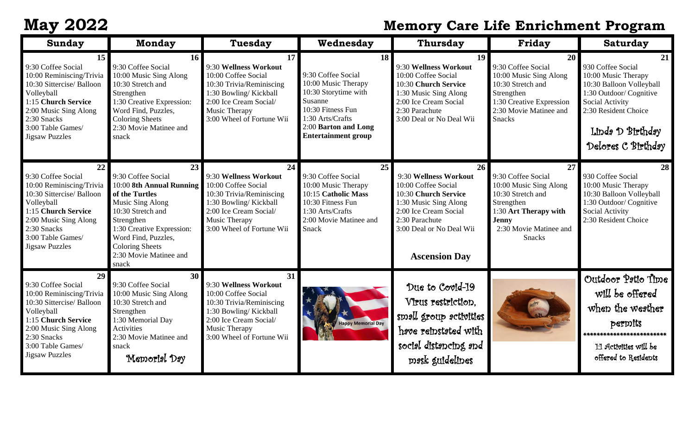## **May 2022 Memory Care Life Enrichment Program**

| <b>Sunday</b>                                                                                                                                                                                                | <b>Monday</b>                                                                                                                                                                                                                                  | <b>Tuesday</b>                                                                                                                                                                  | Wednesday                                                                                                                                                                         | <b>Thursday</b>                                                                                                                                                                                    | Friday                                                                                                                                                                    | <b>Saturday</b>                                                                                                                                                                            |
|--------------------------------------------------------------------------------------------------------------------------------------------------------------------------------------------------------------|------------------------------------------------------------------------------------------------------------------------------------------------------------------------------------------------------------------------------------------------|---------------------------------------------------------------------------------------------------------------------------------------------------------------------------------|-----------------------------------------------------------------------------------------------------------------------------------------------------------------------------------|----------------------------------------------------------------------------------------------------------------------------------------------------------------------------------------------------|---------------------------------------------------------------------------------------------------------------------------------------------------------------------------|--------------------------------------------------------------------------------------------------------------------------------------------------------------------------------------------|
| 15<br>9:30 Coffee Social<br>10:00 Reminiscing/Trivia<br>10:30 Sittercise/ Balloon<br>Volleyball<br>1:15 Church Service<br>2:00 Music Sing Along<br>2:30 Snacks<br>3:00 Table Games/<br><b>Jigsaw Puzzles</b> | <b>16</b><br>9:30 Coffee Social<br>10:00 Music Sing Along<br>10:30 Stretch and<br>Strengthen<br>1:30 Creative Expression:<br>Word Find, Puzzles,<br><b>Coloring Sheets</b><br>2:30 Movie Matinee and<br>snack                                  | 17<br>9:30 Wellness Workout<br>10:00 Coffee Social<br>10:30 Trivia/Reminiscing<br>1:30 Bowling/Kickball<br>2:00 Ice Cream Social/<br>Music Therapy<br>3:00 Wheel of Fortune Wii | 18<br>9:30 Coffee Social<br>10:00 Music Therapy<br>10:30 Storytime with<br>Susanne<br>10:30 Fitness Fun<br>1:30 Arts/Crafts<br>2:00 Barton and Long<br><b>Entertainment group</b> | 19<br>9:30 Wellness Workout<br>10:00 Coffee Social<br>10:30 Church Service<br>1:30 Music Sing Along<br>2:00 Ice Cream Social<br>2:30 Parachute<br>3:00 Deal or No Deal Wii                         | 20<br>9:30 Coffee Social<br>10:00 Music Sing Along<br>10:30 Stretch and<br>Strengthen<br>1:30 Creative Expression<br>2:30 Movie Matinee and<br><b>Snacks</b>              | 21<br>930 Coffee Social<br>10:00 Music Therapy<br>10:30 Balloon Volleyball<br>1:30 Outdoor/ Cognitive<br>Social Activity<br>2:30 Resident Choice<br>Linda D Birthday<br>Delores C Birthday |
| 22<br>9:30 Coffee Social<br>10:00 Reminiscing/Trivia<br>10:30 Sittercise/ Balloon<br>Volleyball<br>1:15 Church Service<br>2:00 Music Sing Along<br>2:30 Snacks<br>3:00 Table Games/<br><b>Jigsaw Puzzles</b> | 23<br>9:30 Coffee Social<br>10:00 8th Annual Running<br>of the Turtles<br>Music Sing Along<br>10:30 Stretch and<br>Strengthen<br>1:30 Creative Expression:<br>Word Find, Puzzles,<br><b>Coloring Sheets</b><br>2:30 Movie Matinee and<br>snack | 24<br>9:30 Wellness Workout<br>10:00 Coffee Social<br>10:30 Trivia/Reminiscing<br>1:30 Bowling/Kickball<br>2:00 Ice Cream Social/<br>Music Therapy<br>3:00 Wheel of Fortune Wii | 25<br>9:30 Coffee Social<br>10:00 Music Therapy<br>10:15 Catholic Mass<br>10:30 Fitness Fun<br>1:30 Arts/Crafts<br>2:00 Movie Matinee and<br>Snack                                | 26<br>9:30 Wellness Workout<br>10:00 Coffee Social<br>10:30 Church Service<br>1:30 Music Sing Along<br>2:00 Ice Cream Social<br>2:30 Parachute<br>3:00 Deal or No Deal Wii<br><b>Ascension Day</b> | 27<br>9:30 Coffee Social<br>10:00 Music Sing Along<br>10:30 Stretch and<br>Strengthen<br>1:30 Art Therapy with<br><b>Jenny</b><br>2:30 Movie Matinee and<br><b>Snacks</b> | 28<br>930 Coffee Social<br>10:00 Music Therapy<br>10:30 Balloon Volleyball<br>1:30 Outdoor/ Cognitive<br>Social Activity<br>2:30 Resident Choice                                           |
| 29<br>9:30 Coffee Social<br>10:00 Reminiscing/Trivia<br>10:30 Sittercise/ Balloon<br>Volleyball<br>1:15 Church Service<br>2:00 Music Sing Along                                                              | 30 <sup>°</sup><br>9:30 Coffee Social<br>10:00 Music Sing Along<br>10:30 Stretch and<br>Strengthen<br>1:30 Memorial Day<br><b>Activities</b>                                                                                                   | 31<br>9:30 Wellness Workout<br>10:00 Coffee Social<br>10:30 Trivia/Reminiscing<br>1:30 Bowling/Kickball<br>2:00 Ice Cream Social/<br>Music Therapy                              | <b>Happy Memorial Day</b>                                                                                                                                                         | Due to Covid-19<br>Virus restriction,<br>small group activities<br>hrve reinstated with                                                                                                            |                                                                                                                                                                           | Outdoor Patio Time<br>will be offered<br>when the weather<br>permits<br>************<br>************                                                                                       |
| 2:30 Snacks<br>3:00 Table Games/<br><b>Jigsaw Puzzles</b>                                                                                                                                                    | 2:30 Movie Matinee and<br>snack<br>Memorial Day                                                                                                                                                                                                | 3:00 Wheel of Fortune Wii                                                                                                                                                       |                                                                                                                                                                                   | social distancing and<br>mask guidelines                                                                                                                                                           |                                                                                                                                                                           | 1.1 Activities will be<br>offered to Residents                                                                                                                                             |